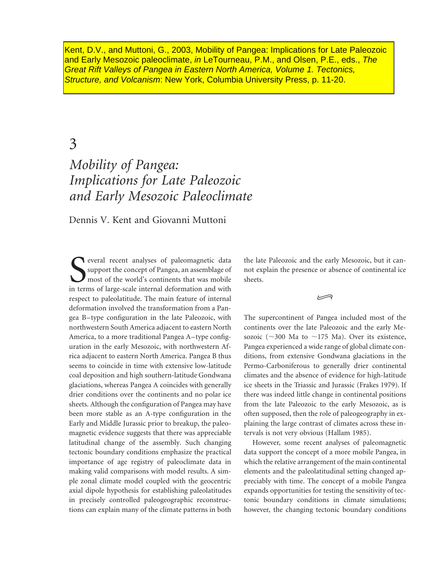Kent, D.V., and Muttoni, G., 2003, Mobility of Pangea: Implications for Late Paleozoic and Early Mesozoic paleoclimate, in LeTourneau, P.M., and Olsen, P.E., eds., The Great Rift Valleys of Pangea in Eastern North America, Volume 1. Tectonics, Structure, and Volcanism: New York, Columbia University Press, p. 11-20.

# 3

# *Mobility of Pangea: Implications for Late Paleozoic and Early Mesozoic Paleoclimate*

Dennis V. Kent and Giovanni Muttoni

Several recent analyses of paleomagnetic data<br>
support the concept of Pangea, an assemblage of<br>
most of the world's continents that was mobile<br>
in terms of large-scale internal deformation and with everal recent analyses of paleomagnetic data support the concept of Pangea, an assemblage of most of the world's continents that was mobile respect to paleolatitude. The main feature of internal deformation involved the transformation from a Pangea B–type configuration in the late Paleozoic, with northwestern South America adjacent to eastern North America, to a more traditional Pangea A–type configuration in the early Mesozoic, with northwestern Africa adjacent to eastern North America. Pangea B thus seems to coincide in time with extensive low-latitude coal deposition and high southern-latitude Gondwana glaciations, whereas Pangea A coincides with generally drier conditions over the continents and no polar ice sheets. Although the configuration of Pangea may have been more stable as an A-type configuration in the Early and Middle Jurassic prior to breakup, the paleomagnetic evidence suggests that there was appreciable latitudinal change of the assembly. Such changing tectonic boundary conditions emphasize the practical importance of age registry of paleoclimate data in making valid comparisons with model results. A simple zonal climate model coupled with the geocentric axial dipole hypothesis for establishing paleolatitudes in precisely controlled paleogeographic reconstructions can explain many of the climate patterns in both

the late Paleozoic and the early Mesozoic, but it cannot explain the presence or absence of continental ice sheets.

ڪ

The supercontinent of Pangea included most of the continents over the late Paleozoic and the early Mesozoic ( $\sim$ 300 Ma to  $\sim$ 175 Ma). Over its existence, Pangea experienced a wide range of global climate conditions, from extensive Gondwana glaciations in the Permo-Carboniferous to generally drier continental climates and the absence of evidence for high-latitude ice sheets in the Triassic and Jurassic (Frakes 1979). If there was indeed little change in continental positions from the late Paleozoic to the early Mesozoic, as is often supposed, then the role of paleogeography in explaining the large contrast of climates across these intervals is not very obvious (Hallam 1985).

However, some recent analyses of paleomagnetic data support the concept of a more mobile Pangea, in which the relative arrangement of the main continental elements and the paleolatitudinal setting changed appreciably with time. The concept of a mobile Pangea expands opportunities for testing the sensitivity of tectonic boundary conditions in climate simulations; however, the changing tectonic boundary conditions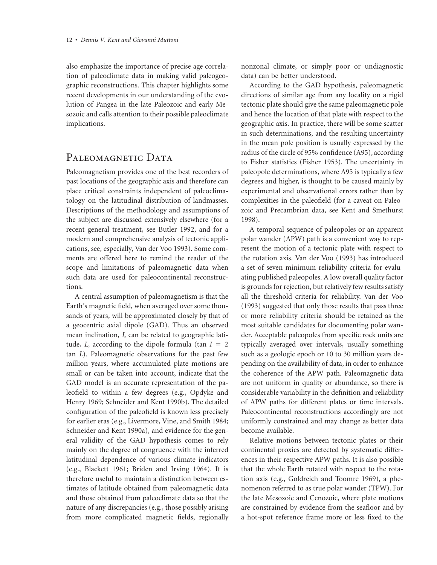also emphasize the importance of precise age correlation of paleoclimate data in making valid paleogeographic reconstructions. This chapter highlights some recent developments in our understanding of the evolution of Pangea in the late Paleozoic and early Mesozoic and calls attention to their possible paleoclimate implications.

#### PALEOMAGNETIC DATA

Paleomagnetism provides one of the best recorders of past locations of the geographic axis and therefore can place critical constraints independent of paleoclimatology on the latitudinal distribution of landmasses. Descriptions of the methodology and assumptions of the subject are discussed extensively elsewhere (for a recent general treatment, see Butler 1992, and for a modern and comprehensive analysis of tectonic applications, see, especially, Van der Voo 1993). Some comments are offered here to remind the reader of the scope and limitations of paleomagnetic data when such data are used for paleocontinental reconstructions.

A central assumption of paleomagnetism is that the Earth's magnetic field, when averaged over some thousands of years, will be approximated closely by that of a geocentric axial dipole (GAD). Thus an observed mean inclination, *I,* can be related to geographic latitude,  $L$ , according to the dipole formula (tan  $I = 2$ tan *L*). Paleomagnetic observations for the past few million years, where accumulated plate motions are small or can be taken into account, indicate that the GAD model is an accurate representation of the paleofield to within a few degrees (e.g., Opdyke and Henry 1969; Schneider and Kent 1990b). The detailed configuration of the paleofield is known less precisely for earlier eras (e.g., Livermore, Vine, and Smith 1984; Schneider and Kent 1990a), and evidence for the general validity of the GAD hypothesis comes to rely mainly on the degree of congruence with the inferred latitudinal dependence of various climate indicators (e.g., Blackett 1961; Briden and Irving 1964). It is therefore useful to maintain a distinction between estimates of latitude obtained from paleomagnetic data and those obtained from paleoclimate data so that the nature of any discrepancies (e.g., those possibly arising from more complicated magnetic fields, regionally

nonzonal climate, or simply poor or undiagnostic data) can be better understood.

According to the GAD hypothesis, paleomagnetic directions of similar age from any locality on a rigid tectonic plate should give the same paleomagnetic pole and hence the location of that plate with respect to the geographic axis. In practice, there will be some scatter in such determinations, and the resulting uncertainty in the mean pole position is usually expressed by the radius of the circle of 95% confidence (A95), according to Fisher statistics (Fisher 1953). The uncertainty in paleopole determinations, where A95 is typically a few degrees and higher, is thought to be caused mainly by experimental and observational errors rather than by complexities in the paleofield (for a caveat on Paleozoic and Precambrian data, see Kent and Smethurst 1998).

A temporal sequence of paleopoles or an apparent polar wander (APW) path is a convenient way to represent the motion of a tectonic plate with respect to the rotation axis. Van der Voo (1993) has introduced a set of seven minimum reliability criteria for evaluating published paleopoles. A low overall quality factor is grounds for rejection, but relatively few results satisfy all the threshold criteria for reliability. Van der Voo (1993) suggested that only those results that pass three or more reliability criteria should be retained as the most suitable candidates for documenting polar wander. Acceptable paleopoles from specific rock units are typically averaged over intervals, usually something such as a geologic epoch or 10 to 30 million years depending on the availability of data, in order to enhance the coherence of the APW path. Paleomagnetic data are not uniform in quality or abundance, so there is considerable variability in the definition and reliability of APW paths for different plates or time intervals. Paleocontinental reconstructions accordingly are not uniformly constrained and may change as better data become available.

Relative motions between tectonic plates or their continental proxies are detected by systematic differences in their respective APW paths. It is also possible that the whole Earth rotated with respect to the rotation axis (e.g., Goldreich and Toomre 1969), a phenomenon referred to as true polar wander (TPW). For the late Mesozoic and Cenozoic, where plate motions are constrained by evidence from the seafloor and by a hot-spot reference frame more or less fixed to the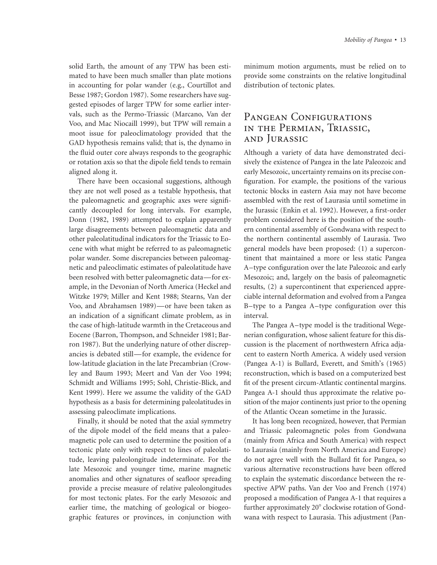solid Earth, the amount of any TPW has been estimated to have been much smaller than plate motions in accounting for polar wander (e.g., Courtillot and Besse 1987; Gordon 1987). Some researchers have suggested episodes of larger TPW for some earlier intervals, such as the Permo-Triassic (Marcano, Van der Voo, and Mac Niocaill 1999), but TPW will remain a moot issue for paleoclimatology provided that the GAD hypothesis remains valid; that is, the dynamo in the fluid outer core always responds to the geographic or rotation axis so that the dipole field tends to remain aligned along it.

There have been occasional suggestions, although they are not well posed as a testable hypothesis, that the paleomagnetic and geographic axes were significantly decoupled for long intervals. For example, Donn (1982, 1989) attempted to explain apparently large disagreements between paleomagnetic data and other paleolatitudinal indicators for the Triassic to Eocene with what might be referred to as paleomagnetic polar wander. Some discrepancies between paleomagnetic and paleoclimatic estimates of paleolatitude have been resolved with better paleomagnetic data—for example, in the Devonian of North America (Heckel and Witzke 1979; Miller and Kent 1988; Stearns, Van der Voo, and Abrahamsen 1989)—or have been taken as an indication of a significant climate problem, as in the case of high-latitude warmth in the Cretaceous and Eocene (Barron, Thompson, and Schneider 1981; Barron 1987). But the underlying nature of other discrepancies is debated still—for example, the evidence for low-latitude glaciation in the late Precambrian (Crowley and Baum 1993; Meert and Van der Voo 1994; Schmidt and Williams 1995; Sohl, Christie-Blick, and Kent 1999). Here we assume the validity of the GAD hypothesis as a basis for determining paleolatitudes in assessing paleoclimate implications.

Finally, it should be noted that the axial symmetry of the dipole model of the field means that a paleomagnetic pole can used to determine the position of a tectonic plate only with respect to lines of paleolatitude, leaving paleolongitude indeterminate. For the late Mesozoic and younger time, marine magnetic anomalies and other signatures of seafloor spreading provide a precise measure of relative paleolongitudes for most tectonic plates. For the early Mesozoic and earlier time, the matching of geological or biogeographic features or provinces, in conjunction with

minimum motion arguments, must be relied on to provide some constraints on the relative longitudinal distribution of tectonic plates.

### PANGEAN CONFIGURATIONS in the Permian, Triassic, and Jurassic

Although a variety of data have demonstrated decisively the existence of Pangea in the late Paleozoic and early Mesozoic, uncertainty remains on its precise configuration. For example, the positions of the various tectonic blocks in eastern Asia may not have become assembled with the rest of Laurasia until sometime in the Jurassic (Enkin et al. 1992). However, a first-order problem considered here is the position of the southern continental assembly of Gondwana with respect to the northern continental assembly of Laurasia. Two general models have been proposed: (1) a supercontinent that maintained a more or less static Pangea A–type configuration over the late Paleozoic and early Mesozoic; and, largely on the basis of paleomagnetic results, (2) a supercontinent that experienced appreciable internal deformation and evolved from a Pangea B–type to a Pangea A–type configuration over this interval.

The Pangea A–type model is the traditional Wegenerian configuration, whose salient feature for this discussion is the placement of northwestern Africa adjacent to eastern North America. A widely used version (Pangea A-1) is Bullard, Everett, and Smith's (1965) reconstruction, which is based on a computerized best fit of the present circum-Atlantic continental margins. Pangea A-1 should thus approximate the relative position of the major continents just prior to the opening of the Atlantic Ocean sometime in the Jurassic.

It has long been recognized, however, that Permian and Triassic paleomagnetic poles from Gondwana (mainly from Africa and South America) with respect to Laurasia (mainly from North America and Europe) do not agree well with the Bullard fit for Pangea, so various alternative reconstructions have been offered to explain the systematic discordance between the respective APW paths. Van der Voo and French (1974) proposed a modification of Pangea A-1 that requires a further approximately 20° clockwise rotation of Gondwana with respect to Laurasia. This adjustment (Pan-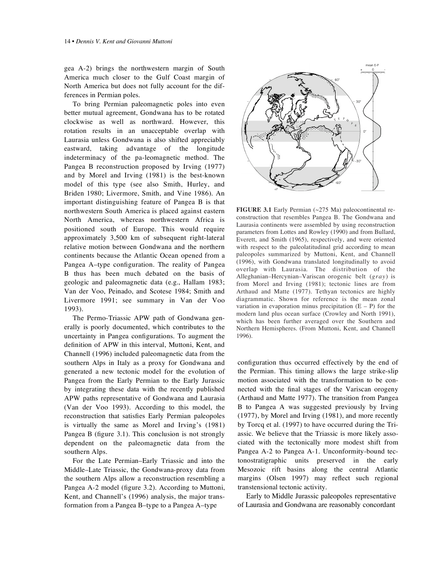gea A-2) brings the northwestern margin of South America much closer to the Gulf Coast margin of North America but does not fully account for the differences in Permian poles.

To bring Permian paleomagnetic poles into even better mutual agreement, Gondwana has to be rotated clockwise as well as northward. However, this rotation results in an unacceptable overlap with Laurasia unless Gondwana is also shifted appreciably eastward, taking advantage of the longitude indeterminacy of the pa-leomagnetic method. The Pangea B reconstruction proposed by Irving (1977) and by Morel and Irving (1981) is the best-known model of this type (see also Smith, Hurley, and Briden 1980; Livermore, Smith, and Vine 1986). An important distinguishing feature of Pangea B is that northwestern South America is placed against eastern North America, whereas northwestern Africa is positioned south of Europe. This would require approximately 3,500 km of subsequent right-lateral relative motion between Gondwana and the northern continents because the Atlantic Ocean opened from a Pangea A–type configuration. The reality of Pangea B thus has been much debated on the basis of geologic and paleomagnetic data (e.g., Hallam 1983; Van der Voo, Peinado, and Scotese 1984; Smith and Livermore 1991; see summary in Van der Voo 1993).

The Permo-Triassic APW path of Gondwana generally is poorly documented, which contributes to the uncertainty in Pangea configurations. To augment the definition of APW in this interval, Muttoni, Kent, and Channell (1996) included paleomagnetic data from the southern Alps in Italy as a proxy for Gondwana and generated a new tectonic model for the evolution of Pangea from the Early Permian to the Early Jurassic by integrating these data with the recently published APW paths representative of Gondwana and Laurasia (Van der Voo 1993). According to this model, the reconstruction that satisfies Early Permian paleopoles is virtually the same as Morel and Irving's (1981) Pangea B (figure 3.1). This conclusion is not strongly dependent on the paleomagnetic data from the southern Alps.

For the Late Permian–Early Triassic and into the Middle–Late Triassic, the Gondwana-proxy data from the southern Alps allow a reconstruction resembling a Pangea A-2 model (figure 3.2). According to Muttoni, Kent, and Channell's (1996) analysis, the major transformation from a Pangea B–type to a Pangea A–type



**FIGURE 3.1** Early Permian (~275 Ma) paleocontinental reconstruction that resembles Pangea B. The Gondwana and Laurasia continents were assembled by using reconstruction parameters from Lottes and Rowley (1990) and from Bullard, Everett, and Smith (1965), respectively, and were oriented with respect to the paleolatitudinal grid according to mean paleopoles summarized by Muttoni, Kent, and Channell (1996), with Gondwana translated longitudinally to avoid overlap with Laurasia. The distribution of the Alleghanian–Hercynian–Variscan orogenic belt (*gray*) is from Morel and Irving (1981); tectonic lines are from Arthaud and Matte (1977). Tethyan tectonics are highly diagrammatic. Shown for reference is the mean zonal variation in evaporation minus precipitation  $(E - P)$  for the modern land plus ocean surface (Crowley and North 1991), which has been further averaged over the Southern and Northern Hemispheres. (From Muttoni, Kent, and Channell 1996).

configuration thus occurred effectively by the end of the Permian. This timing allows the large strike-slip motion associated with the transformation to be connected with the final stages of the Variscan orogeny (Arthaud and Matte 1977). The transition from Pangea B to Pangea A was suggested previously by Irving (1977), by Morel and Irving (1981), and more recently by Torcq et al. (1997) to have occurred during the Triassic. We believe that the Triassic is more likely associated with the tectonically more modest shift from Pangea A-2 to Pangea A-1. Unconformity-bound tectonostratigraphic units preserved in the early Mesozoic rift basins along the central Atlantic margins (Olsen 1997) may reflect such regional transtensional tectonic activity.

Early to Middle Jurassic paleopoles representative of Laurasia and Gondwana are reasonably concordant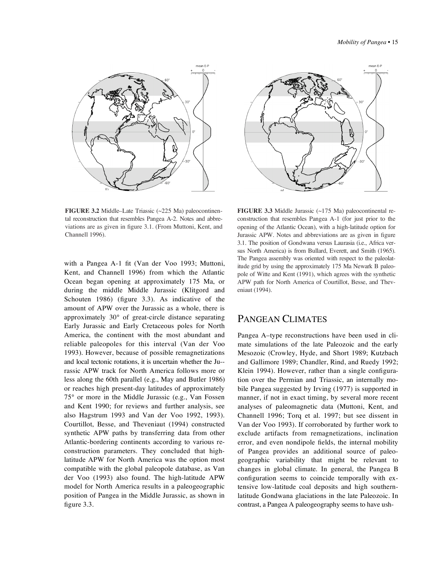

**FIGURE 3.2** Middle–Late Triassic (~225 Ma) paleocontinental reconstruction that resembles Pangea A-2. Notes and abbreviations are as given in figure 3.1. (From Muttoni, Kent, and Channell 1996).

with a Pangea A-1 fit (Van der Voo 1993; Muttoni, Kent, and Channell 1996) from which the Atlantic Ocean began opening at approximately 175 Ma, or during the middle Middle Jurassic (Klitgord and Schouten 1986) (figure 3.3). As indicative of the amount of APW over the Jurassic as a whole, there is approximately 30° of great-circle distance separating Early Jurassic and Early Cretaceous poles for North America, the continent with the most abundant and reliable paleopoles for this interval (Van der Voo 1993). However, because of possible remagnetizations and local tectonic rotations, it is uncertain whether the Ju- rassic APW track for North America follows more or less along the 60th parallel (e.g., May and Butler 1986) or reaches high present-day latitudes of approximately 75° or more in the Middle Jurassic (e.g., Van Fossen and Kent 1990; for reviews and further analysis, see also Hagstrum 1993 and Van der Voo 1992, 1993). Courtillot, Besse, and Theveniaut (1994) constructed synthetic APW paths by transferring data from other Atlantic-bordering continents according to various reconstruction parameters. They concluded that highlatitude APW for North America was the option most compatible with the global paleopole database, as Van der Voo (1993) also found. The high-latitude APW model for North America results in a paleogeographic position of Pangea in the Middle Jurassic, as shown in figure 3.3.



**FIGURE 3.3** Middle Jurassic (~175 Ma) paleocontinental reconstruction that resembles Pangea A-1 (for just prior to the opening of the Atlantic Ocean), with a high-latitude option for Jurassic APW. Notes and abbreviations are as given in figure 3.1. The position of Gondwana versus Laurasia (i.e., Africa versus North America) is from Bullard, Everett, and Smith (1965). The Pangea assembly was oriented with respect to the paleolatitude grid by using the approximately 175 Ma Newark B paleopole of Witte and Kent (1991), which agrees with the synthetic APW path for North America of Courtillot, Besse, and Theveniaut (1994).

#### PANGEAN CLIMATES

Pangea A–type reconstructions have been used in climate simulations of the late Paleozoic and the early Mesozoic (Crowley, Hyde, and Short 1989; Kutzbach and Gallimore 1989; Chandler, Rind, and Ruedy 1992; Klein 1994). However, rather than a single configuration over the Permian and Triassic, an internally mobile Pangea suggested by Irving (1977) is supported in manner, if not in exact timing, by several more recent analyses of paleomagnetic data (Muttoni, Kent, and Channell 1996; Torq et al. 1997; but see dissent in Van der Voo 1993). If corroborated by further work to exclude artifacts from remagnetizations, inclination error, and even nondipole fields, the internal mobility of Pangea provides an additional source of paleogeographic variability that might be relevant to changes in global climate. In general, the Pangea B configuration seems to coincide temporally with extensive low-latitude coal deposits and high southernlatitude Gondwana glaciations in the late Paleozoic. In contrast, a Pangea A paleogeography seems to have ush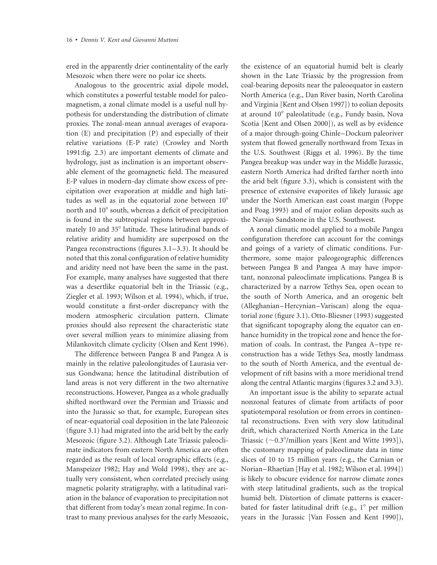ered in the apparently drier continentality of the early Mesozoic when there were no polar ice sheets.

Analogous to the geocentric axial dipole model, which constitutes a powerful testable model for paleomagnetism, a zonal climate model is a useful null hypothesis for understanding the distribution of climate proxies. The zonal-mean annual averages of evaporation (E) and precipitation (P) and especially of their relative variations (E-P rate) (Crowley and North 1991:fig. 2.3) are important elements of climate and hydrology, just as inclination is an important observable element of the geomagnetic field. The measured E-P values in modern-day climate show excess of precipitation over evaporation at middle and high latitudes as well as in the equatorial zone between  $10^{\circ}$ north and 10° south, whereas a deficit of precipitation is found in the subtropical regions between approximately 10 and 35° latitude. These latitudinal bands of relative aridity and humidity are superposed on the Pangea reconstructions (figures 3.1–3.3). It should be noted that this zonal configuration of relative humidity and aridity need not have been the same in the past. For example, many analyses have suggested that there was a desertlike equatorial belt in the Triassic (e.g., Ziegler et al. 1993; Wilson et al. 1994), which, if true, would constitute a first-order discrepancy with the modern atmospheric circulation pattern. Climate proxies should also represent the characteristic state over several million years to minimize aliasing from Milankovitch climate cyclicity (Olsen and Kent 1996).

The difference between Pangea B and Pangea A is mainly in the relative paleolongitudes of Laurasia versus Gondwana; hence the latitudinal distribution of land areas is not very different in the two alternative reconstructions. However, Pangea as a whole gradually shifted northward over the Permian and Triassic and into the Jurassic so that, for example, European sites of near-equatorial coal deposition in the late Paleozoic (figure 3.1) had migrated into the arid belt by the early Mesozoic (figure 3.2). Although Late Triassic paleoclimate indicators from eastern North America are often regarded as the result of local orographic effects (e.g., Manspeizer 1982; Hay and Wold 1998), they are actually very consistent, when correlated precisely using magnetic polarity stratigraphy, with a latitudinal variation in the balance of evaporation to precipitation not that different from today's mean zonal regime. In contrast to many previous analyses for the early Mesozoic,

the existence of an equatorial humid belt is clearly shown in the Late Triassic by the progression from coal-bearing deposits near the paleoequator in eastern North America (e.g., Dan River basin, North Carolina and Virginia [Kent and Olsen 1997]) to eolian deposits at around 10° paleolatitude (e.g., Fundy basin, Nova Scotia [Kent and Olsen 2000]), as well as by evidence of a major through-going Chinle–Dockum paleoriver system that flowed generally northward from Texas in the U.S. Southwest (Riggs et al. 1996). By the time Pangea breakup was under way in the Middle Jurassic, eastern North America had drifted farther north into the arid belt (figure 3.3), which is consistent with the presence of extensive evaporites of likely Jurassic age under the North American east coast margin (Poppe and Poag 1993) and of major eolian deposits such as the Navajo Sandstone in the U.S. Southwest.

A zonal climatic model applied to a mobile Pangea configuration therefore can account for the comings and goings of a variety of climatic conditions. Furthermore, some major paleogeographic differences between Pangea B and Pangea A may have important, nonzonal paleoclimate implications. Pangea B is characterized by a narrow Tethys Sea, open ocean to the south of North America, and an orogenic belt (Alleghanian–Hercynian–Variscan) along the equatorial zone (figure 3.1). Otto-Bliesner (1993) suggested that significant topography along the equator can enhance humidity in the tropical zone and hence the formation of coals. In contrast, the Pangea A–type reconstruction has a wide Tethys Sea, mostly landmass to the south of North America, and the eventual development of rift basins with a more meridional trend along the central Atlantic margins (figures 3.2 and 3.3).

An important issue is the ability to separate actual nonzonal features of climate from artifacts of poor spatiotemporal resolution or from errors in continental reconstructions. Even with very slow latitudinal drift, which characterized North America in the Late Triassic  $(\sim 0.3^{\circ}/\text{million}$  years [Kent and Witte 1993]), the customary mapping of paleoclimate data in time slices of 10 to 15 million years (e.g., the Carnian or Norian–Rhaetian [Hay et al. 1982; Wilson et al. 1994]) is likely to obscure evidence for narrow climate zones with steep latitudinal gradients, such as the tropical humid belt. Distortion of climate patterns is exacerbated for faster latitudinal drift (e.g., 1° per million years in the Jurassic [Van Fossen and Kent 1990]),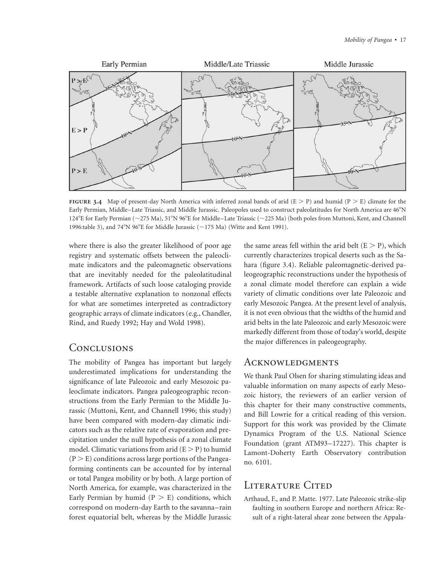

**FIGURE 3.4** Map of present-day North America with inferred zonal bands of arid  $(E > P)$  and humid  $(P > E)$  climate for the Early Permian, Middle–Late Triassic, and Middle Jurassic. Paleopoles used to construct paleolatitudes for North America are 46°N 124°E for Early Permian (~275 Ma), 51°N 96°E for Middle–Late Triassic (~225 Ma) (both poles from Muttoni, Kent, and Channell 1996:table 3), and 74°N 96°E for Middle Jurassic ( $\sim$ 175 Ma) (Witte and Kent 1991).

where there is also the greater likelihood of poor age registry and systematic offsets between the paleoclimate indicators and the paleomagnetic observations that are inevitably needed for the paleolatitudinal framework. Artifacts of such loose cataloging provide a testable alternative explanation to nonzonal effects for what are sometimes interpreted as contradictory geographic arrays of climate indicators (e.g., Chandler, Rind, and Ruedy 1992; Hay and Wold 1998).

# **CONCLUSIONS**

The mobility of Pangea has important but largely underestimated implications for understanding the significance of late Paleozoic and early Mesozoic paleoclimate indicators. Pangea paleogeographic reconstructions from the Early Permian to the Middle Jurassic (Muttoni, Kent, and Channell 1996; this study) have been compared with modern-day climatic indicators such as the relative rate of evaporation and precipitation under the null hypothesis of a zonal climate model. Climatic variations from arid  $(E > P)$  to humid  $(P > E)$  conditions across large portions of the Pangeaforming continents can be accounted for by internal or total Pangea mobility or by both. A large portion of North America, for example, was characterized in the Early Permian by humid  $(P > E)$  conditions, which correspond on modern-day Earth to the savanna–rain forest equatorial belt, whereas by the Middle Jurassic

the same areas fell within the arid belt  $(E > P)$ , which currently characterizes tropical deserts such as the Sahara (figure 3.4). Reliable paleomagnetic-derived paleogeographic reconstructions under the hypothesis of a zonal climate model therefore can explain a wide variety of climatic conditions over late Paleozoic and early Mesozoic Pangea. At the present level of analysis, it is not even obvious that the widths of the humid and arid belts in the late Paleozoic and early Mesozoic were markedly different from those of today's world, despite the major differences in paleogeography.

#### **ACKNOWLEDGMENTS**

We thank Paul Olsen for sharing stimulating ideas and valuable information on many aspects of early Mesozoic history, the reviewers of an earlier version of this chapter for their many constructive comments, and Bill Lowrie for a critical reading of this version. Support for this work was provided by the Climate Dynamics Program of the U.S. National Science Foundation (grant ATM93–17227). This chapter is Lamont-Doherty Earth Observatory contribution no. 6101.

# LITERATURE CITED

Arthaud, F., and P. Matte. 1977. Late Paleozoic strike-slip faulting in southern Europe and northern Africa: Result of a right-lateral shear zone between the Appala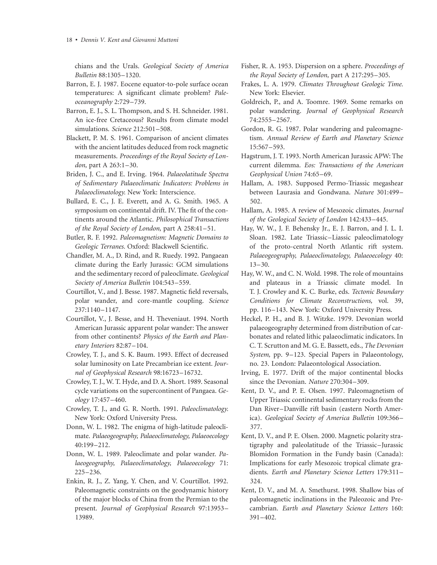chians and the Urals. *Geological Society of America Bulletin* 88:1305–1320.

- Barron, E. J. 1987. Eocene equator-to-pole surface ocean temperatures: A significant climate problem? *Paleoceanography* 2:729–739.
- Barron, E. J., S. L. Thompson, and S. H. Schneider. 1981. An ice-free Cretaceous? Results from climate model simulations. *Science* 212:501–508.
- Blackett, P. M. S. 1961. Comparison of ancient climates with the ancient latitudes deduced from rock magnetic measurements. *Proceedings of the Royal Society of London,* part A 263:1–30.
- Briden, J. C., and E. Irving. 1964. *Palaeolatitude Spectra of Sedimentary Palaeoclimatic Indicators: Problems in Palaeoclimatology.* New York: Interscience.
- Bullard, E. C., J. E. Everett, and A. G. Smith. 1965. A symposium on continental drift. IV. The fit of the continents around the Atlantic. *Philosophical Transactions of the Royal Society of London,* part A 258:41–51.
- Butler, R. F. 1992. *Paleomagnetism: Magnetic Domains to Geologic Terranes.* Oxford: Blackwell Scientific.
- Chandler, M. A., D. Rind, and R. Ruedy. 1992. Pangaean climate during the Early Jurassic: GCM simulations and the sedimentary record of paleoclimate. *Geological Society of America Bulletin* 104:543–559.
- Courtillot, V., and J. Besse. 1987. Magnetic field reversals, polar wander, and core-mantle coupling. *Science* 237:1140–1147.
- Courtillot, V., J. Besse, and H. Theveniaut. 1994. North American Jurassic apparent polar wander: The answer from other continents? *Physics of the Earth and Planetary Interiors* 82:87–104.
- Crowley, T. J., and S. K. Baum. 1993. Effect of decreased solar luminosity on Late Precambrian ice extent. *Journal of Geophysical Research* 98:16723–16732.
- Crowley, T. J., W. T. Hyde, and D. A. Short. 1989. Seasonal cycle variations on the supercontinent of Pangaea. *Geology* 17:457–460.
- Crowley, T. J., and G. R. North. 1991. *Paleoclimatology.* New York: Oxford University Press.
- Donn, W. L. 1982. The enigma of high-latitude paleoclimate. *Palaeogeography, Palaeoclimatology, Palaeoecology* 40:199–212.
- Donn, W. L. 1989. Paleoclimate and polar wander. *Palaeogeography, Palaeoclimatology, Palaeoecology* 71: 225–236.
- Enkin, R. J., Z. Yang, Y. Chen, and V. Courtillot. 1992. Paleomagnetic constraints on the geodynamic history of the major blocks of China from the Permian to the present. *Journal of Geophysical Research* 97:13953– 13989.
- Fisher, R. A. 1953. Dispersion on a sphere. *Proceedings of the Royal Society of London,* part A 217:295–305.
- Frakes, L. A. 1979. *Climates Throughout Geologic Time.* New York: Elsevier.
- Goldreich, P., and A. Toomre. 1969. Some remarks on polar wandering. *Journal of Geophysical Research* 74:2555–2567.
- Gordon, R. G. 1987. Polar wandering and paleomagnetism. *Annual Review of Earth and Planetary Science* 15:567–593.
- Hagstrum, J. T. 1993. North American Jurassic APW: The current dilemma. *Eos: Transactions of the American Geophysical Union* 74:65–69.
- Hallam, A. 1983. Supposed Permo-Triassic megashear between Laurasia and Gondwana. *Nature* 301:499– 502.
- Hallam, A. 1985. A review of Mesozoic climates. *Journal of the Geological Society of London* 142:433–445.
- Hay, W. W., J. F. Behensky Jr., E. J. Barron, and J. L. I. Sloan. 1982. Late Triassic–Liassic paleoclimatology of the proto-central North Atlantic rift system. *Palaeogeography, Palaeoclimatology, Palaeoecology* 40:  $13 - 30.$
- Hay, W. W., and C. N. Wold. 1998. The role of mountains and plateaus in a Triassic climate model. In T. J. Crowley and K. C. Burke, eds. *Tectonic Boundary Conditions for Climate Reconstructions,* vol. 39, pp. 116–143. New York: Oxford University Press.
- Heckel, P. H., and B. J. Witzke. 1979. Devonian world palaeogeography determined from distribution of carbonates and related lithic palaeoclimatic indicators. In C. T. Scrutton and M. G. E. Bassett, eds., *The Devonian System,* pp. 9–123. Special Papers in Palaeontology, no. 23. London: Palaeontological Association.
- Irving, E. 1977. Drift of the major continental blocks since the Devonian. *Nature* 270:304–309.
- Kent, D. V., and P. E. Olsen. 1997. Paleomagnetism of Upper Triassic continental sedimentary rocks from the Dan River–Danville rift basin (eastern North America). *Geological Society of America Bulletin* 109:366– 377.
- Kent, D. V., and P. E. Olsen. 2000. Magnetic polarity stratigraphy and paleolatitude of the Triassic–Jurassic Blomidon Formation in the Fundy basin (Canada): Implications for early Mesozoic tropical climate gradients. *Earth and Planetary Science Letters* 179:311– 324.
- Kent, D. V., and M. A. Smethurst. 1998. Shallow bias of paleomagnetic inclinations in the Paleozoic and Precambrian. *Earth and Planetary Science Letters* 160: 391–402.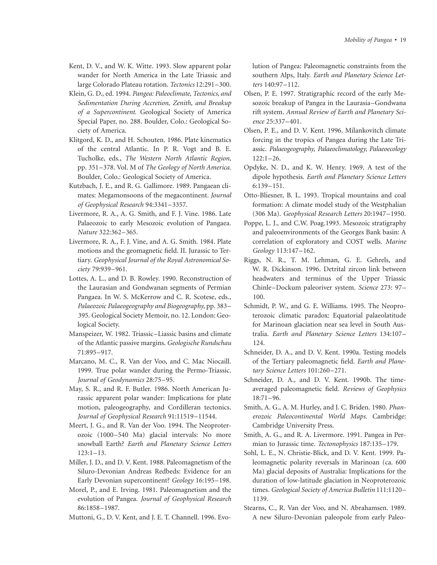- Kent, D. V., and W. K. Witte. 1993. Slow apparent polar wander for North America in the Late Triassic and large Colorado Plateau rotation. *Tectonics* 12:291–300.
- Klein, G. D., ed. 1994. *Pangea: Paleoclimate, Tectonics, and Sedimentation During Accretion, Zenith, and Breakup of a Supercontinent.* Geological Society of America Special Paper, no. 288. Boulder, Colo.: Geological Society of America.
- Klitgord, K. D., and H. Schouten. 1986. Plate kinematics of the central Atlantic. In P. R. Vogt and B. E. Tucholke, eds., *The Western North Atlantic Region,* pp. 351–378. Vol. M of *The Geology of North America.* Boulder, Colo.: Geological Society of America.
- Kutzbach, J. E., and R. G. Gallimore. 1989. Pangaean climates: Megamonsoons of the megacontinent. *Journal of Geophysical Research* 94:3341–3357.
- Livermore, R. A., A. G. Smith, and F. J. Vine. 1986. Late Palaeozoic to early Mesozoic evolution of Pangaea. *Nature* 322:362–365.
- Livermore, R. A., F. J. Vine, and A. G. Smith. 1984. Plate motions and the geomagnetic field. II. Jurassic to Tertiary. *Geophysical Journal of the Royal Astronomical Society* 79:939–961.
- Lottes, A. L., and D. B. Rowley. 1990. Reconstruction of the Laurasian and Gondwanan segments of Permian Pangaea. In W. S. McKerrow and C. R. Scotese, eds., *Palaeozoic Palaeogeography and Biogeography,* pp. 383– 395. Geological Society Memoir, no. 12. London: Geological Society.
- Manspeizer, W. 1982. Triassic–Liassic basins and climate of the Atlantic passive margins. *Geologische Rundschau* 71:895–917.
- Marcano, M. C., R. Van der Voo, and C. Mac Niocaill. 1999. True polar wander during the Permo-Triassic. *Journal of Geodynamics* 28:75–95.
- May, S. R., and R. F. Butler. 1986. North American Jurassic apparent polar wander: Implications for plate motion, paleogeography, and Cordilleran tectonics. *Journal of Geophysical Research* 91:11519–11544.
- Meert, J. G., and R. Van der Voo. 1994. The Neoproterozoic (1000–540 Ma) glacial intervals: No more snowball Earth? *Earth and Planetary Science Letters* 123:1–13.
- Miller, J. D., and D. V. Kent. 1988. Paleomagnetism of the Siluro-Devonian Andreas Redbeds: Evidence for an Early Devonian supercontinent? *Geology* 16:195–198.
- Morel, P., and E. Irving. 1981. Paleomagnetism and the evolution of Pangea. *Journal of Geophysical Research* 86:1858–1987.
- Muttoni, G., D. V. Kent, and J. E. T. Channell. 1996. Evo-

lution of Pangea: Paleomagnetic constraints from the southern Alps, Italy. *Earth and Planetary Science Letters* 140:97–112.

- Olsen, P. E. 1997. Stratigraphic record of the early Mesozoic breakup of Pangea in the Laurasia–Gondwana rift system. *Annual Review of Earth and Planetary Science* 25:337–401.
- Olsen, P. E., and D. V. Kent. 1996. Milankovitch climate forcing in the tropics of Pangea during the Late Triassic. *Palaeogeography, Palaeoclimatology, Palaeoecology* 122:1–26.
- Opdyke, N. D., and K. W. Henry. 1969. A test of the dipole hypothesis. *Earth and Planetary Science Letters* 6:139–151.
- Otto-Bliesner, B. L. 1993. Tropical mountains and coal formation: A climate model study of the Westphalian (306 Ma). *Geophysical Research Letters* 20:1947–1950.
- Poppe, L. J., and C.W. Poag.1993. Mesozoic stratigraphy and paleoenvironments of the Georges Bank basin: A correlation of exploratory and COST wells. *Marine Geology* 113:147–162.
- Riggs, N. R., T. M. Lehman, G. E. Gehrels, and W. R. Dickinson. 1996. Detrital zircon link between headwaters and terminus of the Upper Triassic Chinle–Dockum paleoriver system. *Science* 273: 97– 100.
- Schmidt, P. W., and G. E. Williams. 1995. The Neoproterozoic climatic paradox: Equatorial palaeolatitude for Marinoan glaciation near sea level in South Australia. *Earth and Planetary Science Letters* 134:107– 124.
- Schneider, D. A., and D. V. Kent. 1990a. Testing models of the Tertiary paleomagnetic field. *Earth and Planetary Science Letters* 101:260–271.
- Schneider, D. A., and D. V. Kent. 1990b. The timeaveraged paleomagnetic field. *Reviews of Geophysics* 18:71–96.
- Smith, A. G., A. M. Hurley, and J. C. Briden. 1980. *Phanerozoic Paleocontinental World Maps.* Cambridge: Cambridge University Press.
- Smith, A. G., and R. A. Livermore. 1991. Pangea in Permian to Jurassic time. *Tectonophysics* 187:135–179.
- Sohl, L. E., N. Christie-Blick, and D. V. Kent. 1999. Paleomagnetic polarity reversals in Marinoan (ca. 600 Ma) glacial deposits of Australia: Implications for the duration of low-latitude glaciation in Neoproterozoic times. *Geological Society of America Bulletin* 111:1120– 1139.
- Stearns, C., R. Van der Voo, and N. Abrahamsen. 1989. A new Siluro-Devonian paleopole from early Paleo-